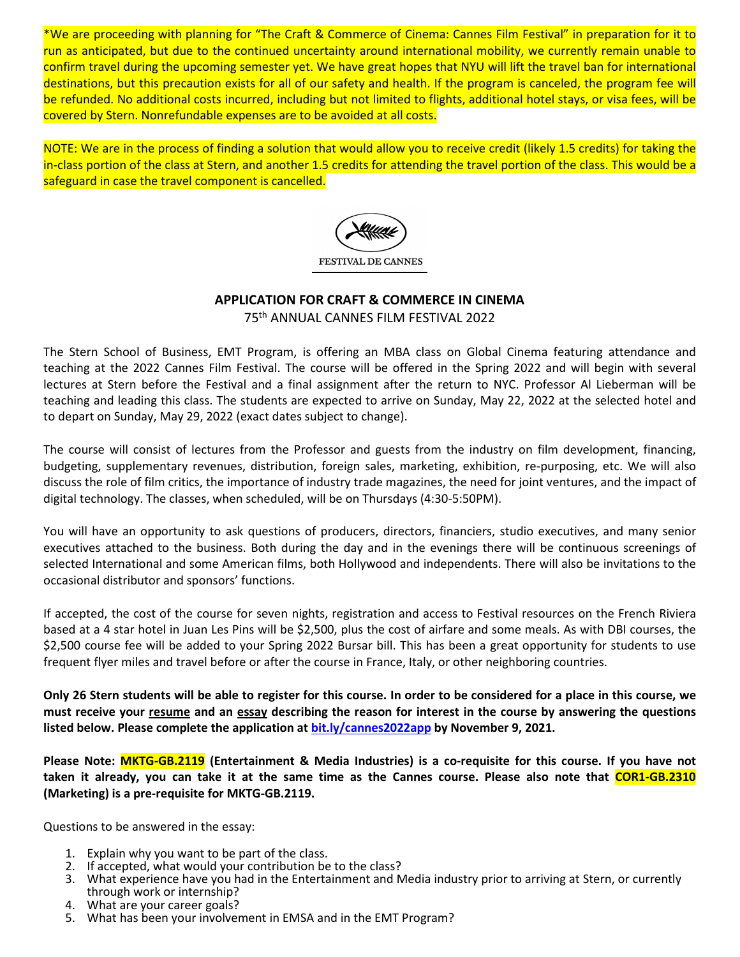\*We are proceeding with planning for "The Craft & Commerce of Cinema: Cannes Film Festival" in preparation for it to run as anticipated, but due to the continued uncertainty around international mobility, we currently remain unable to confirm travel during the upcoming semester yet. We have great hopes that NYU will lift the travel ban for international destinations, but this precaution exists for all of our safety and health. If the program is canceled, the program fee will be refunded. No additional costs incurred, including but not limited to flights, additional hotel stays, or visa fees, will be covered by Stern. Nonrefundable expenses are to be avoided at all costs.

NOTE: We are in the process of finding a solution that would allow you to receive credit (likely 1.5 credits) for taking the in-class portion of the class at Stern, and another 1.5 credits for attending the travel portion of the class. This would be a safeguard in case the travel component is cancelled.



## **APPLICATION FOR CRAFT & COMMERCE IN CINEMA** 75th ANNUAL CANNES FILM FESTIVAL 2022

The Stern School of Business, EMT Program, is offering an MBA class on Global Cinema featuring attendance and teaching at the 2022 Cannes Film Festival. The course will be offered in the Spring 2022 and will begin with several lectures at Stern before the Festival and a final assignment after the return to NYC. Professor Al Lieberman will be teaching and leading this class. The students are expected to arrive on Sunday, May 22, 2022 at the selected hotel and to depart on Sunday, May 29, 2022 (exact dates subject to change).

The course will consist of lectures from the Professor and guests from the industry on film development, financing, budgeting, supplementary revenues, distribution, foreign sales, marketing, exhibition, re-purposing, etc. We will also discuss the role of film critics, the importance of industry trade magazines, the need for joint ventures, and the impact of digital technology. The classes, when scheduled, will be on Thursdays (4:30-5:50PM).

You will have an opportunity to ask questions of producers, directors, financiers, studio executives, and many senior executives attached to the business. Both during the day and in the evenings there will be continuous screenings of selected International and some American films, both Hollywood and independents. There will also be invitations to the occasional distributor and sponsors' functions.

If accepted, the cost of the course for seven nights, registration and access to Festival resources on the French Riviera based at a 4 star hotel in Juan Les Pins will be \$2,500, plus the cost of airfare and some meals. As with DBI courses, the \$2,500 course fee will be added to your Spring 2022 Bursar bill. This has been a great opportunity for students to use frequent flyer miles and travel before or after the course in France, Italy, or other neighboring countries.

**Only 26 Stern students will be able to register for this course. In order to be considered for a place in this course, we must receive your resume and an essay describing the reason for interest in the course by answering the questions listed below. Please complete the application a[t bit.ly/cannes2022app](http://bit.ly/cannes2021app) by November 9, 2021.**

**Please Note: MKTG-GB.2119 (Entertainment & Media Industries) is a co-requisite for this course. If you have not taken it already, you can take it at the same time as the Cannes course. Please also note that COR1-GB.2310 (Marketing) is a pre-requisite for MKTG-GB.2119.**

Questions to be answered in the essay:

- 1. Explain why you want to be part of the class.
- 2. If accepted, what would your contribution be to the class?
- 3. What experience have you had in the Entertainment and Media industry prior to arriving at Stern, or currently through work or internship?
- 4. What are your career goals?
- 5. What has been your involvement in EMSA and in the EMT Program?